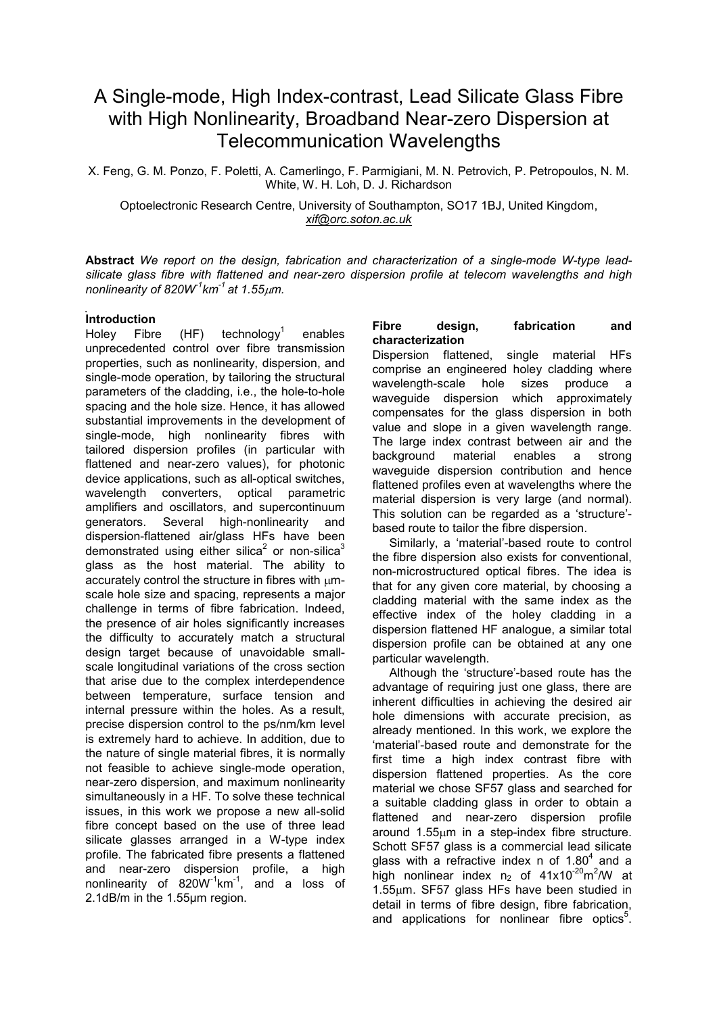# A Single-mode, High Index-contrast, Lead Silicate Glass Fibre with High Nonlinearity, Broadband Near-zero Dispersion at Telecommunication Wavelengths

X. Feng, G. M. Ponzo, F. Poletti, A. Camerlingo, F. Parmigiani, M. N. Petrovich, P. Petropoulos, N. M. White, W. H. Loh, D. J. Richardson

Optoelectronic Research Centre, University of Southampton, SO17 1BJ, United Kingdom, *xif@orc.soton.ac.uk*

**Abstract** *We report on the design, fabrication and characterization of a single-mode W-type leadsilicate glass fibre with flattened and near-zero dispersion profile at telecom wavelengths and high nonlinearity of 820W-1km-1 at 1.55*µ*m.* 

# **Introduction**

Holey Fibre  $(HF)$  technology<sup>1</sup> enables unprecedented control over fibre transmission properties, such as nonlinearity, dispersion, and single-mode operation, by tailoring the structural parameters of the cladding, i.e., the hole-to-hole spacing and the hole size. Hence, it has allowed substantial improvements in the development of single-mode, high nonlinearity fibres with tailored dispersion profiles (in particular with flattened and near-zero values), for photonic device applications, such as all-optical switches, wavelength converters, optical parametric amplifiers and oscillators, and supercontinuum generators. Several high-nonlinearity and dispersion-flattened air/glass HFs have been demonstrated using either silica<sup>2</sup> or non-silica<sup>3</sup> glass as the host material. The ability to accurately control the structure in fibres with  $µm$ scale hole size and spacing, represents a major challenge in terms of fibre fabrication. Indeed, the presence of air holes significantly increases the difficulty to accurately match a structural design target because of unavoidable smallscale longitudinal variations of the cross section that arise due to the complex interdependence between temperature, surface tension and internal pressure within the holes. As a result, precise dispersion control to the ps/nm/km level is extremely hard to achieve. In addition, due to the nature of single material fibres, it is normally not feasible to achieve single-mode operation, near-zero dispersion, and maximum nonlinearity simultaneously in a HF. To solve these technical issues, in this work we propose a new all-solid fibre concept based on the use of three lead silicate glasses arranged in a W-type index profile. The fabricated fibre presents a flattened and near-zero dispersion profile, a high nonlinearity of  $820W^{-1}km^{-1}$ , and a loss of 2.1dB/m in the 1.55µm region.

# **Fibre design, fabrication and characterization**

Dispersion flattened, single material HFs comprise an engineered holey cladding where wavelength-scale hole sizes produce a waveguide dispersion which approximately compensates for the glass dispersion in both value and slope in a given wavelength range. The large index contrast between air and the background material enables a strong waveguide dispersion contribution and hence flattened profiles even at wavelengths where the material dispersion is very large (and normal). This solution can be regarded as a 'structure' based route to tailor the fibre dispersion.

Similarly, a 'material'-based route to control the fibre dispersion also exists for conventional, non-microstructured optical fibres. The idea is that for any given core material, by choosing a cladding material with the same index as the effective index of the holey cladding in a dispersion flattened HF analogue, a similar total dispersion profile can be obtained at any one particular wavelength.

Although the 'structure'-based route has the advantage of requiring just one glass, there are inherent difficulties in achieving the desired air hole dimensions with accurate precision, as already mentioned. In this work, we explore the 'material'-based route and demonstrate for the first time a high index contrast fibre with dispersion flattened properties. As the core material we chose SF57 glass and searched for a suitable cladding glass in order to obtain a flattened and near-zero dispersion profile around 1.55µm in a step-index fibre structure. Schott SF57 glass is a commercial lead silicate glass with a refractive index n of  $1.80^4$  and a high nonlinear index  $n_2$  of 41x10<sup>-20</sup>m<sup>2</sup>/W at 1.55µm. SF57 glass HFs have been studied in detail in terms of fibre design, fibre fabrication, and applications for nonlinear fibre optics $5$ .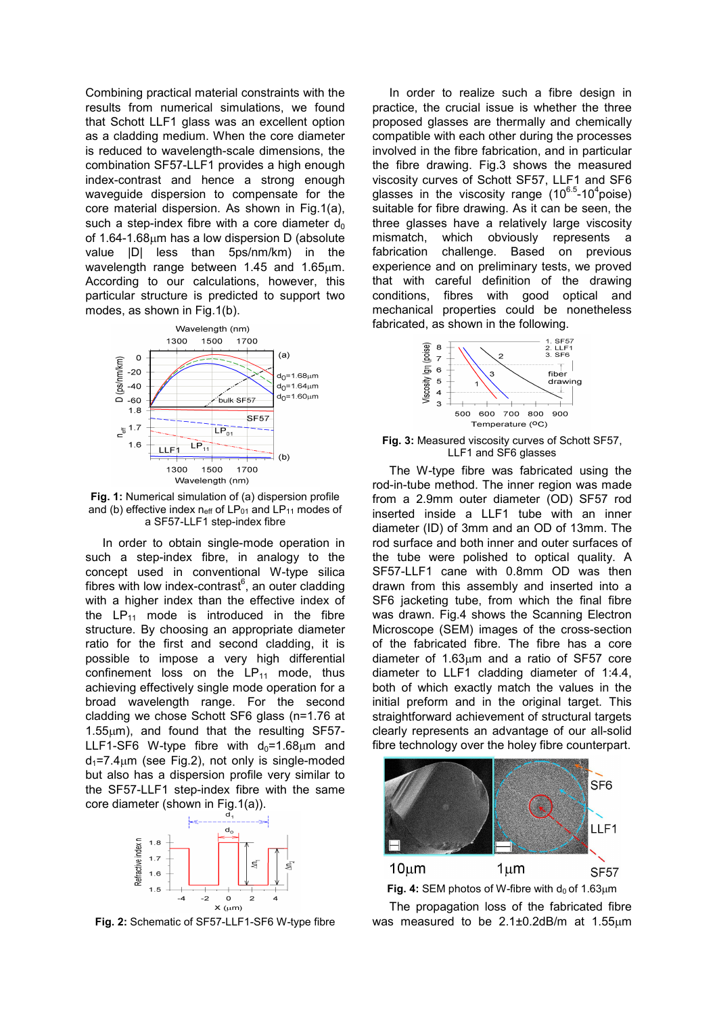Combining practical material constraints with the results from numerical simulations, we found that Schott LLF1 glass was an excellent option as a cladding medium. When the core diameter is reduced to wavelength-scale dimensions, the combination SF57-LLF1 provides a high enough index-contrast and hence a strong enough waveguide dispersion to compensate for the core material dispersion. As shown in Fig.1(a), such a step-index fibre with a core diameter  $d_0$ of 1.64-1.68µm has a low dispersion D (absolute value |D| less than 5ps/nm/km) in the wavelength range between 1.45 and 1.65µm. According to our calculations, however, this particular structure is predicted to support two modes, as shown in Fig.1(b).



**Fig. 1:** Numerical simulation of (a) dispersion profile and (b) effective index  $n_{eff}$  of LP<sub>01</sub> and LP<sub>11</sub> modes of a SF57-LLF1 step-index fibre

In order to obtain single-mode operation in such a step-index fibre, in analogy to the concept used in conventional W-type silica fibres with low index-contrast $6$ , an outer cladding with a higher index than the effective index of the  $LP_{11}$  mode is introduced in the fibre structure. By choosing an appropriate diameter ratio for the first and second cladding, it is possible to impose a very high differential confinement loss on the  $LP_{11}$  mode, thus achieving effectively single mode operation for a broad wavelength range. For the second cladding we chose Schott SF6 glass (n=1.76 at 1.55µm), and found that the resulting SF57- LLF1-SF6 W-type fibre with  $d_0=1.68\mu m$  and  $d_1$ =7.4 $\mu$ m (see Fig.2), not only is single-moded but also has a dispersion profile very similar to the SF57-LLF1 step-index fibre with the same core diameter (shown in Fig.1(a)).



**Fig. 2:** Schematic of SF57-LLF1-SF6 W-type fibre

In order to realize such a fibre design in practice, the crucial issue is whether the three proposed glasses are thermally and chemically compatible with each other during the processes involved in the fibre fabrication, and in particular the fibre drawing. Fig.3 shows the measured viscosity curves of Schott SF57, LLF1 and SF6 glasses in the viscosity range  $(10^{6.5}$ -10<sup>4</sup>poise) suitable for fibre drawing. As it can be seen, the three glasses have a relatively large viscosity mismatch, which obviously represents a fabrication challenge. Based on previous experience and on preliminary tests, we proved that with careful definition of the drawing conditions, fibres with good optical and mechanical properties could be nonetheless fabricated, as shown in the following.



**Fig. 3:** Measured viscosity curves of Schott SF57, LLF1 and SF6 glasses

The W-type fibre was fabricated using the rod-in-tube method. The inner region was made from a 2.9mm outer diameter (OD) SF57 rod inserted inside a LLF1 tube with an inner diameter (ID) of 3mm and an OD of 13mm. The rod surface and both inner and outer surfaces of the tube were polished to optical quality. A SF57-LLF1 cane with 0.8mm OD was then drawn from this assembly and inserted into a SF6 jacketing tube, from which the final fibre was drawn. Fig.4 shows the Scanning Electron Microscope (SEM) images of the cross-section of the fabricated fibre. The fibre has a core diameter of 1.63µm and a ratio of SF57 core diameter to LLF1 cladding diameter of 1:4.4, both of which exactly match the values in the initial preform and in the original target. This straightforward achievement of structural targets clearly represents an advantage of our all-solid fibre technology over the holey fibre counterpart.



The propagation loss of the fabricated fibre was measured to be 2.1±0.2dB/m at 1.55µm